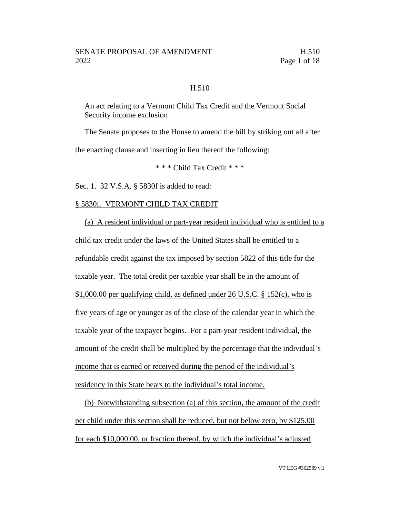### H.510

An act relating to a Vermont Child Tax Credit and the Vermont Social Security income exclusion

The Senate proposes to the House to amend the bill by striking out all after the enacting clause and inserting in lieu thereof the following:

\* \* \* Child Tax Credit \* \* \*

Sec. 1. 32 V.S.A. § 5830f is added to read:

#### § 5830f. VERMONT CHILD TAX CREDIT

(a) A resident individual or part-year resident individual who is entitled to a child tax credit under the laws of the United States shall be entitled to a refundable credit against the tax imposed by section 5822 of this title for the taxable year. The total credit per taxable year shall be in the amount of \$1,000.00 per qualifying child, as defined under 26 U.S.C. § 152(c), who is five years of age or younger as of the close of the calendar year in which the taxable year of the taxpayer begins. For a part-year resident individual, the amount of the credit shall be multiplied by the percentage that the individual's income that is earned or received during the period of the individual's residency in this State bears to the individual's total income.

(b) Notwithstanding subsection (a) of this section, the amount of the credit per child under this section shall be reduced, but not below zero, by \$125.00 for each \$10,000.00, or fraction thereof, by which the individual's adjusted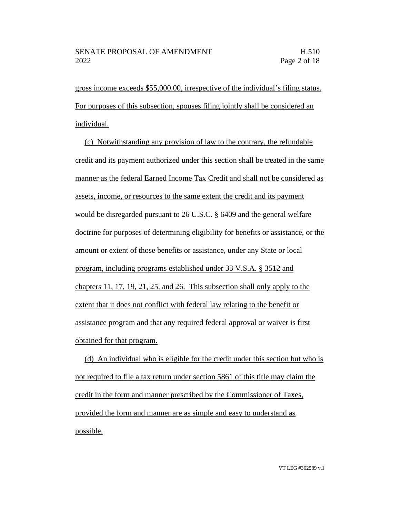gross income exceeds \$55,000.00, irrespective of the individual's filing status. For purposes of this subsection, spouses filing jointly shall be considered an individual.

(c) Notwithstanding any provision of law to the contrary, the refundable credit and its payment authorized under this section shall be treated in the same manner as the federal Earned Income Tax Credit and shall not be considered as assets, income, or resources to the same extent the credit and its payment would be disregarded pursuant to 26 U.S.C. § 6409 and the general welfare doctrine for purposes of determining eligibility for benefits or assistance, or the amount or extent of those benefits or assistance, under any State or local program, including programs established under 33 V.S.A. § 3512 and chapters 11, 17, 19, 21, 25, and 26. This subsection shall only apply to the extent that it does not conflict with federal law relating to the benefit or assistance program and that any required federal approval or waiver is first obtained for that program.

(d) An individual who is eligible for the credit under this section but who is not required to file a tax return under section 5861 of this title may claim the credit in the form and manner prescribed by the Commissioner of Taxes, provided the form and manner are as simple and easy to understand as possible.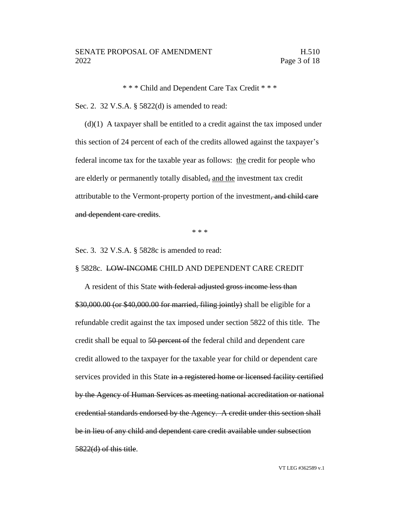\* \* \* Child and Dependent Care Tax Credit \* \* \*

Sec. 2. 32 V.S.A. § 5822(d) is amended to read:

(d)(1) A taxpayer shall be entitled to a credit against the tax imposed under this section of 24 percent of each of the credits allowed against the taxpayer's federal income tax for the taxable year as follows: the credit for people who are elderly or permanently totally disabled, and the investment tax credit attributable to the Vermont-property portion of the investment, and child care and dependent care credits.

\* \* \*

Sec. 3. 32 V.S.A. § 5828c is amended to read:

#### § 5828c. LOW-INCOME CHILD AND DEPENDENT CARE CREDIT

A resident of this State with federal adjusted gross income less than \$30,000.00 (or \$40,000.00 for married, filing jointly) shall be eligible for a refundable credit against the tax imposed under section 5822 of this title. The credit shall be equal to 50 percent of the federal child and dependent care credit allowed to the taxpayer for the taxable year for child or dependent care services provided in this State in a registered home or licensed facility certified by the Agency of Human Services as meeting national accreditation or national credential standards endorsed by the Agency. A credit under this section shall be in lieu of any child and dependent care credit available under subsection 5822(d) of this title.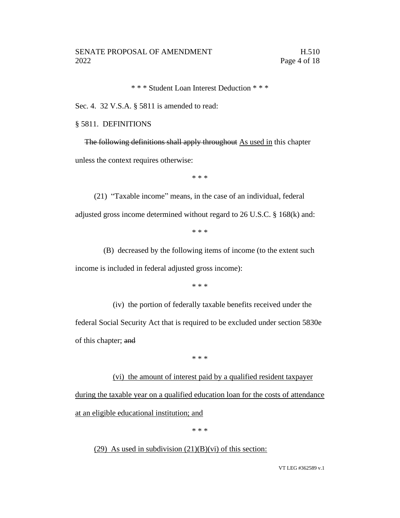\* \* \* Student Loan Interest Deduction \* \* \*

Sec. 4. 32 V.S.A. § 5811 is amended to read:

#### § 5811. DEFINITIONS

The following definitions shall apply throughout As used in this chapter unless the context requires otherwise:

\* \* \*

(21) "Taxable income" means, in the case of an individual, federal adjusted gross income determined without regard to 26 U.S.C. § 168(k) and:

\* \* \*

(B) decreased by the following items of income (to the extent such income is included in federal adjusted gross income):

\* \* \*

(iv) the portion of federally taxable benefits received under the federal Social Security Act that is required to be excluded under section 5830e of this chapter; and

\* \* \*

(vi) the amount of interest paid by a qualified resident taxpayer during the taxable year on a qualified education loan for the costs of attendance at an eligible educational institution; and

\* \* \*

(29) As used in subdivision  $(21)(B)(vi)$  of this section: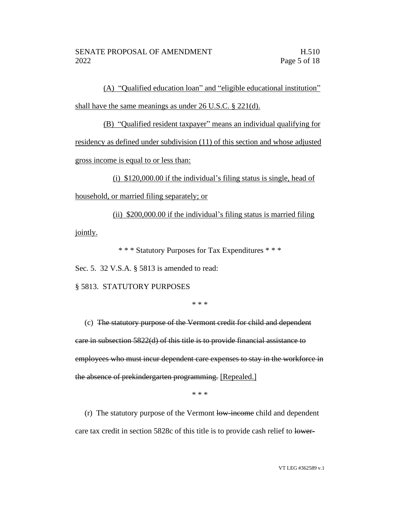(A) "Qualified education loan" and "eligible educational institution" shall have the same meanings as under 26 U.S.C. § 221(d).

(B) "Qualified resident taxpayer" means an individual qualifying for residency as defined under subdivision (11) of this section and whose adjusted gross income is equal to or less than:

(i) \$120,000.00 if the individual's filing status is single, head of household, or married filing separately; or

(ii) \$200,000.00 if the individual's filing status is married filing jointly.

\* \* \* Statutory Purposes for Tax Expenditures \* \* \*

Sec. 5. 32 V.S.A. § 5813 is amended to read:

§ 5813. STATUTORY PURPOSES

\* \* \*

(c) The statutory purpose of the Vermont credit for child and dependent care in subsection 5822(d) of this title is to provide financial assistance to employees who must incur dependent care expenses to stay in the workforce in the absence of prekindergarten programming. [Repealed.]

\* \* \*

(r) The statutory purpose of the Vermont low-income child and dependent care tax credit in section 5828c of this title is to provide cash relief to lower-

VT LEG #362589 v.1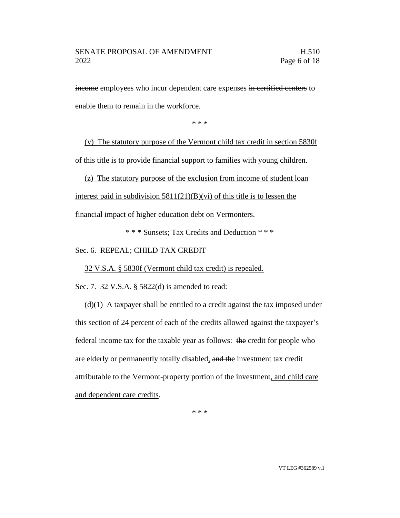income employees who incur dependent care expenses in certified centers to enable them to remain in the workforce.

\* \* \*

(y) The statutory purpose of the Vermont child tax credit in section 5830f of this title is to provide financial support to families with young children.

(z) The statutory purpose of the exclusion from income of student loan interest paid in subdivision  $5811(21)(B)(vi)$  of this title is to lessen the financial impact of higher education debt on Vermonters.

\* \* \* Sunsets; Tax Credits and Deduction \* \* \*

Sec. 6. REPEAL; CHILD TAX CREDIT

32 V.S.A. § 5830f (Vermont child tax credit) is repealed.

Sec. 7. 32 V.S.A. § 5822(d) is amended to read:

 $(d)(1)$  A taxpayer shall be entitled to a credit against the tax imposed under this section of 24 percent of each of the credits allowed against the taxpayer's federal income tax for the taxable year as follows: the credit for people who are elderly or permanently totally disabled, and the investment tax credit attributable to the Vermont-property portion of the investment, and child care and dependent care credits.

\* \* \*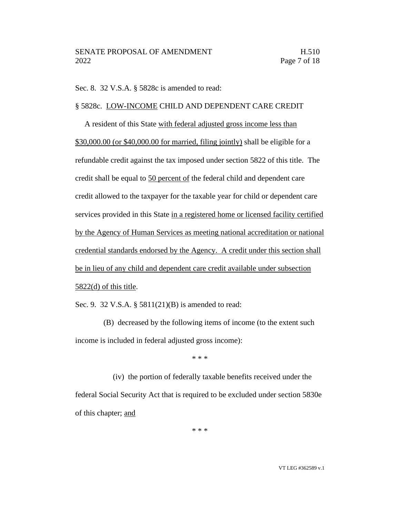Sec. 8. 32 V.S.A. § 5828c is amended to read:

#### § 5828c. LOW-INCOME CHILD AND DEPENDENT CARE CREDIT

A resident of this State with federal adjusted gross income less than \$30,000.00 (or \$40,000.00 for married, filing jointly) shall be eligible for a refundable credit against the tax imposed under section 5822 of this title. The credit shall be equal to 50 percent of the federal child and dependent care credit allowed to the taxpayer for the taxable year for child or dependent care services provided in this State in a registered home or licensed facility certified by the Agency of Human Services as meeting national accreditation or national credential standards endorsed by the Agency. A credit under this section shall be in lieu of any child and dependent care credit available under subsection 5822(d) of this title.

Sec. 9. 32 V.S.A. § 5811(21)(B) is amended to read:

(B) decreased by the following items of income (to the extent such income is included in federal adjusted gross income):

\* \* \*

(iv) the portion of federally taxable benefits received under the federal Social Security Act that is required to be excluded under section 5830e of this chapter; and

\* \* \*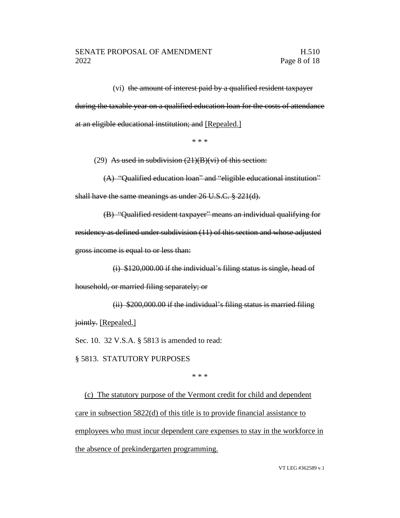(vi) the amount of interest paid by a qualified resident taxpayer during the taxable year on a qualified education loan for the costs of attendance at an eligible educational institution; and [Repealed.]

\* \* \*

(29) As used in subdivision  $(21)(B)(vi)$  of this section:

(A) "Qualified education loan" and "eligible educational institution" shall have the same meanings as under 26 U.S.C. § 221(d).

(B) "Qualified resident taxpayer" means an individual qualifying for residency as defined under subdivision (11) of this section and whose adjusted gross income is equal to or less than:

(i) \$120,000.00 if the individual's filing status is single, head of household, or married filing separately; or

(ii) \$200,000.00 if the individual's filing status is married filing jointly. [Repealed.]

Sec. 10. 32 V.S.A. § 5813 is amended to read:

§ 5813. STATUTORY PURPOSES

\* \* \*

(c) The statutory purpose of the Vermont credit for child and dependent care in subsection 5822(d) of this title is to provide financial assistance to employees who must incur dependent care expenses to stay in the workforce in the absence of prekindergarten programming.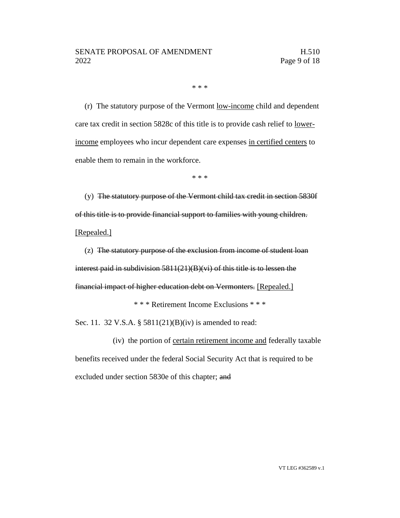\* \* \*

(r) The statutory purpose of the Vermont low-income child and dependent care tax credit in section 5828c of this title is to provide cash relief to lowerincome employees who incur dependent care expenses in certified centers to enable them to remain in the workforce.

\* \* \*

(y) The statutory purpose of the Vermont child tax credit in section 5830f of this title is to provide financial support to families with young children. [Repealed.]

(z) The statutory purpose of the exclusion from income of student loan interest paid in subdivision 5811(21)(B)(vi) of this title is to lessen the financial impact of higher education debt on Vermonters. [Repealed.]

\* \* \* Retirement Income Exclusions \* \* \*

Sec. 11. 32 V.S.A. § 5811(21)(B)(iv) is amended to read:

(iv) the portion of certain retirement income and federally taxable benefits received under the federal Social Security Act that is required to be excluded under section 5830e of this chapter; and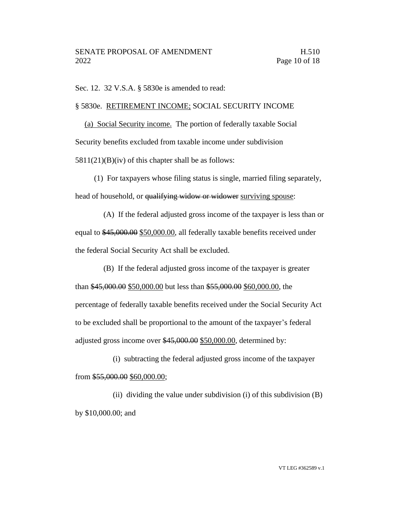Sec. 12. 32 V.S.A. § 5830e is amended to read:

#### § 5830e. RETIREMENT INCOME; SOCIAL SECURITY INCOME

(a) Social Security income. The portion of federally taxable Social Security benefits excluded from taxable income under subdivision  $5811(21)(B)(iv)$  of this chapter shall be as follows:

(1) For taxpayers whose filing status is single, married filing separately, head of household, or qualifying widow or widower surviving spouse:

(A) If the federal adjusted gross income of the taxpayer is less than or equal to \$45,000.00 \$50,000.00, all federally taxable benefits received under the federal Social Security Act shall be excluded.

(B) If the federal adjusted gross income of the taxpayer is greater than \$45,000.00 \$50,000.00 but less than \$55,000.00 \$60,000.00, the percentage of federally taxable benefits received under the Social Security Act to be excluded shall be proportional to the amount of the taxpayer's federal adjusted gross income over \$45,000.00 \$50,000.00, determined by:

(i) subtracting the federal adjusted gross income of the taxpayer from \$55,000.00 \$60,000.00;

(ii) dividing the value under subdivision (i) of this subdivision  $(B)$ by \$10,000.00; and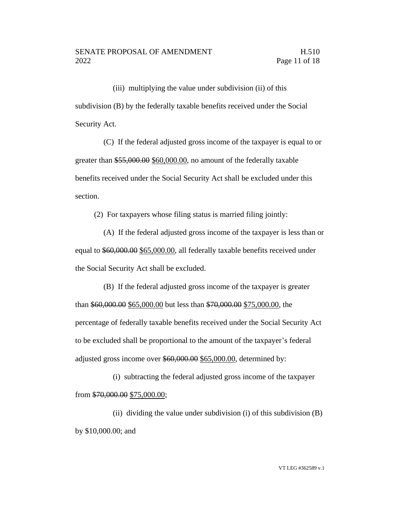(iii) multiplying the value under subdivision (ii) of this subdivision (B) by the federally taxable benefits received under the Social Security Act.

(C) If the federal adjusted gross income of the taxpayer is equal to or greater than \$55,000.00 \$60,000.00, no amount of the federally taxable benefits received under the Social Security Act shall be excluded under this section.

(2) For taxpayers whose filing status is married filing jointly:

(A) If the federal adjusted gross income of the taxpayer is less than or equal to \$60,000.00 \$65,000.00, all federally taxable benefits received under the Social Security Act shall be excluded.

(B) If the federal adjusted gross income of the taxpayer is greater than \$60,000.00 \$65,000.00 but less than \$70,000.00 \$75,000.00, the percentage of federally taxable benefits received under the Social Security Act to be excluded shall be proportional to the amount of the taxpayer's federal adjusted gross income over \$60,000.00 \$65,000.00, determined by:

(i) subtracting the federal adjusted gross income of the taxpayer from \$70,000.00 \$75,000.00;

(ii) dividing the value under subdivision (i) of this subdivision  $(B)$ by \$10,000.00; and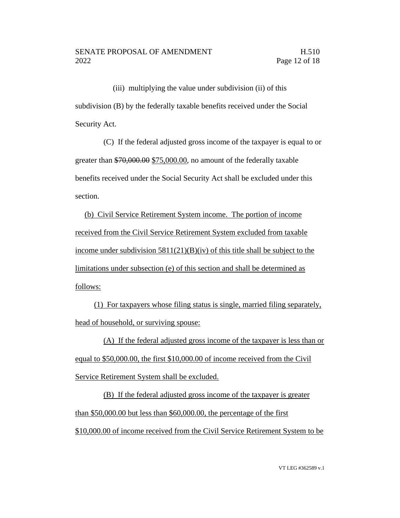(iii) multiplying the value under subdivision (ii) of this subdivision (B) by the federally taxable benefits received under the Social Security Act.

(C) If the federal adjusted gross income of the taxpayer is equal to or greater than \$70,000.00 \$75,000.00, no amount of the federally taxable benefits received under the Social Security Act shall be excluded under this section.

(b) Civil Service Retirement System income. The portion of income received from the Civil Service Retirement System excluded from taxable income under subdivision  $5811(21)(B)(iv)$  of this title shall be subject to the limitations under subsection (e) of this section and shall be determined as follows:

(1) For taxpayers whose filing status is single, married filing separately, head of household, or surviving spouse:

(A) If the federal adjusted gross income of the taxpayer is less than or equal to \$50,000.00, the first \$10,000.00 of income received from the Civil Service Retirement System shall be excluded.

(B) If the federal adjusted gross income of the taxpayer is greater than \$50,000.00 but less than \$60,000.00, the percentage of the first \$10,000.00 of income received from the Civil Service Retirement System to be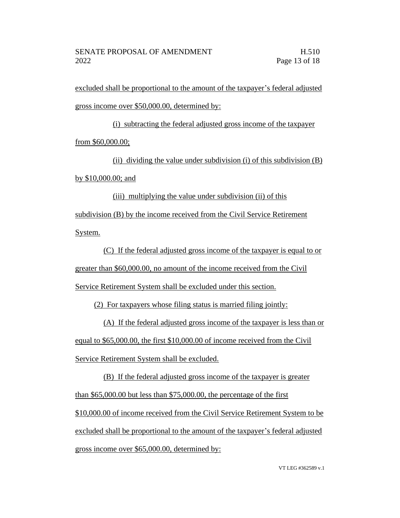excluded shall be proportional to the amount of the taxpayer's federal adjusted gross income over \$50,000.00, determined by:

(i) subtracting the federal adjusted gross income of the taxpayer from \$60,000.00;

(ii) dividing the value under subdivision (i) of this subdivision (B) by \$10,000.00; and

(iii) multiplying the value under subdivision (ii) of this subdivision (B) by the income received from the Civil Service Retirement System.

(C) If the federal adjusted gross income of the taxpayer is equal to or greater than \$60,000.00, no amount of the income received from the Civil Service Retirement System shall be excluded under this section.

(2) For taxpayers whose filing status is married filing jointly:

(A) If the federal adjusted gross income of the taxpayer is less than or equal to \$65,000.00, the first \$10,000.00 of income received from the Civil Service Retirement System shall be excluded.

(B) If the federal adjusted gross income of the taxpayer is greater than \$65,000.00 but less than \$75,000.00, the percentage of the first \$10,000.00 of income received from the Civil Service Retirement System to be excluded shall be proportional to the amount of the taxpayer's federal adjusted gross income over \$65,000.00, determined by: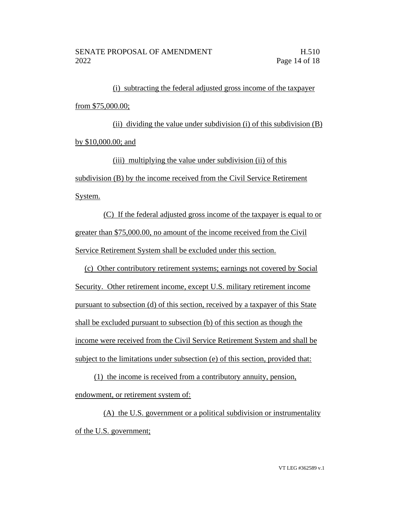(i) subtracting the federal adjusted gross income of the taxpayer from \$75,000.00;

(ii) dividing the value under subdivision (i) of this subdivision (B) by \$10,000.00; and

(iii) multiplying the value under subdivision (ii) of this subdivision (B) by the income received from the Civil Service Retirement System.

(C) If the federal adjusted gross income of the taxpayer is equal to or greater than \$75,000.00, no amount of the income received from the Civil Service Retirement System shall be excluded under this section.

(c) Other contributory retirement systems; earnings not covered by Social Security. Other retirement income, except U.S. military retirement income pursuant to subsection (d) of this section, received by a taxpayer of this State shall be excluded pursuant to subsection (b) of this section as though the income were received from the Civil Service Retirement System and shall be subject to the limitations under subsection (e) of this section, provided that:

(1) the income is received from a contributory annuity, pension, endowment, or retirement system of:

(A) the U.S. government or a political subdivision or instrumentality of the U.S. government;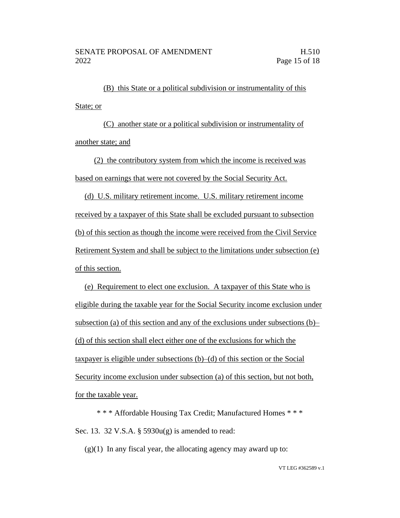(B) this State or a political subdivision or instrumentality of this State; or

(C) another state or a political subdivision or instrumentality of another state; and

(2) the contributory system from which the income is received was based on earnings that were not covered by the Social Security Act.

(d) U.S. military retirement income. U.S. military retirement income received by a taxpayer of this State shall be excluded pursuant to subsection (b) of this section as though the income were received from the Civil Service Retirement System and shall be subject to the limitations under subsection (e) of this section.

(e) Requirement to elect one exclusion. A taxpayer of this State who is eligible during the taxable year for the Social Security income exclusion under subsection (a) of this section and any of the exclusions under subsections (b)– (d) of this section shall elect either one of the exclusions for which the taxpayer is eligible under subsections (b)–(d) of this section or the Social Security income exclusion under subsection (a) of this section, but not both, for the taxable year.

\* \* \* Affordable Housing Tax Credit; Manufactured Homes \* \* \* Sec. 13. 32 V.S.A. § 5930u(g) is amended to read:

 $(g)(1)$  In any fiscal year, the allocating agency may award up to: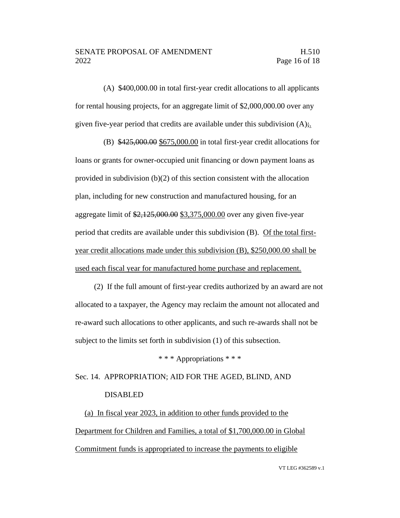(A) \$400,000.00 in total first-year credit allocations to all applicants for rental housing projects, for an aggregate limit of \$2,000,000.00 over any given five-year period that credits are available under this subdivision (A);.

(B) \$425,000.00 \$675,000.00 in total first-year credit allocations for loans or grants for owner-occupied unit financing or down payment loans as provided in subdivision (b)(2) of this section consistent with the allocation plan, including for new construction and manufactured housing, for an aggregate limit of \$2,125,000.00 \$3,375,000.00 over any given five-year period that credits are available under this subdivision (B). Of the total firstyear credit allocations made under this subdivision (B), \$250,000.00 shall be used each fiscal year for manufactured home purchase and replacement.

(2) If the full amount of first-year credits authorized by an award are not allocated to a taxpayer, the Agency may reclaim the amount not allocated and re-award such allocations to other applicants, and such re-awards shall not be subject to the limits set forth in subdivision (1) of this subsection.

\* \* \* Appropriations \* \* \*

Sec. 14. APPROPRIATION; AID FOR THE AGED, BLIND, AND DISABLED

(a) In fiscal year 2023, in addition to other funds provided to the Department for Children and Families, a total of \$1,700,000.00 in Global Commitment funds is appropriated to increase the payments to eligible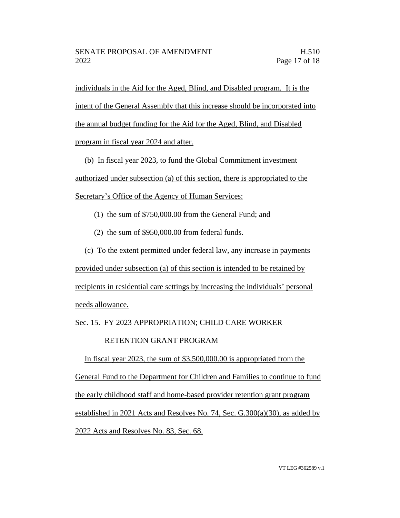individuals in the Aid for the Aged, Blind, and Disabled program. It is the intent of the General Assembly that this increase should be incorporated into the annual budget funding for the Aid for the Aged, Blind, and Disabled program in fiscal year 2024 and after.

(b) In fiscal year 2023, to fund the Global Commitment investment authorized under subsection (a) of this section, there is appropriated to the Secretary's Office of the Agency of Human Services:

(1) the sum of \$750,000.00 from the General Fund; and

(2) the sum of \$950,000.00 from federal funds.

(c) To the extent permitted under federal law, any increase in payments provided under subsection (a) of this section is intended to be retained by recipients in residential care settings by increasing the individuals' personal needs allowance.

Sec. 15. FY 2023 APPROPRIATION; CHILD CARE WORKER

# RETENTION GRANT PROGRAM

In fiscal year 2023, the sum of \$3,500,000.00 is appropriated from the General Fund to the Department for Children and Families to continue to fund the early childhood staff and home-based provider retention grant program established in 2021 Acts and Resolves No. 74, Sec. G.300(a)(30), as added by 2022 Acts and Resolves No. 83, Sec. 68.